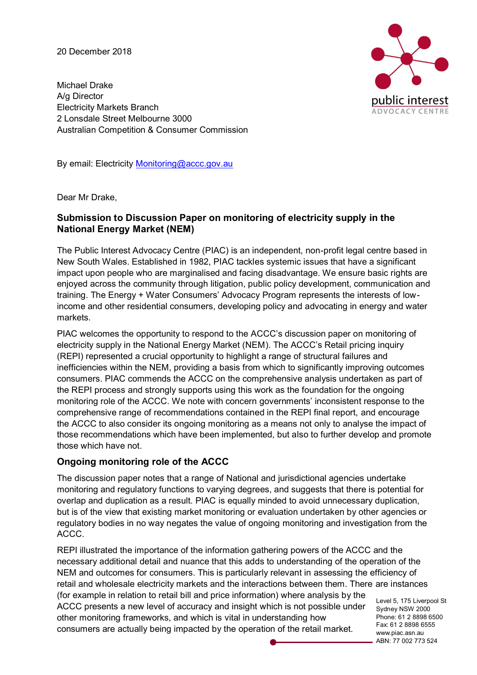20 December 2018



Michael Drake A/g Director Electricity Markets Branch 2 Lonsdale Street Melbourne 3000 Australian Competition & Consumer Commission

By email: Electricity Monitoring@accc.gov.au

Dear Mr Drake,

## **Submission to Discussion Paper on monitoring of electricity supply in the National Energy Market (NEM)**

The Public Interest Advocacy Centre (PIAC) is an independent, non-profit legal centre based in New South Wales. Established in 1982, PIAC tackles systemic issues that have a significant impact upon people who are marginalised and facing disadvantage. We ensure basic rights are enjoyed across the community through litigation, public policy development, communication and training. The Energy + Water Consumers' Advocacy Program represents the interests of lowincome and other residential consumers, developing policy and advocating in energy and water markets.

PIAC welcomes the opportunity to respond to the ACCC's discussion paper on monitoring of electricity supply in the National Energy Market (NEM). The ACCC's Retail pricing inquiry (REPI) represented a crucial opportunity to highlight a range of structural failures and inefficiencies within the NEM, providing a basis from which to significantly improving outcomes consumers. PIAC commends the ACCC on the comprehensive analysis undertaken as part of the REPI process and strongly supports using this work as the foundation for the ongoing monitoring role of the ACCC. We note with concern governments' inconsistent response to the comprehensive range of recommendations contained in the REPI final report, and encourage the ACCC to also consider its ongoing monitoring as a means not only to analyse the impact of those recommendations which have been implemented, but also to further develop and promote those which have not.

### **Ongoing monitoring role of the ACCC**

The discussion paper notes that a range of National and jurisdictional agencies undertake monitoring and regulatory functions to varying degrees, and suggests that there is potential for overlap and duplication as a result. PIAC is equally minded to avoid unnecessary duplication, but is of the view that existing market monitoring or evaluation undertaken by other agencies or regulatory bodies in no way negates the value of ongoing monitoring and investigation from the ACCC.

REPI illustrated the importance of the information gathering powers of the ACCC and the necessary additional detail and nuance that this adds to understanding of the operation of the NEM and outcomes for consumers. This is particularly relevant in assessing the efficiency of retail and wholesale electricity markets and the interactions between them. There are instances

(for example in relation to retail bill and price information) where analysis by the ACCC presents a new level of accuracy and insight which is not possible under other monitoring frameworks, and which is vital in understanding how consumers are actually being impacted by the operation of the retail market.

Level 5, 175 Liverpool St Sydney NSW 2000 Phone: 61 2 8898 6500 Fax: 61 2 8898 6555 www.piac.asn.au ABN: 77 002 773 524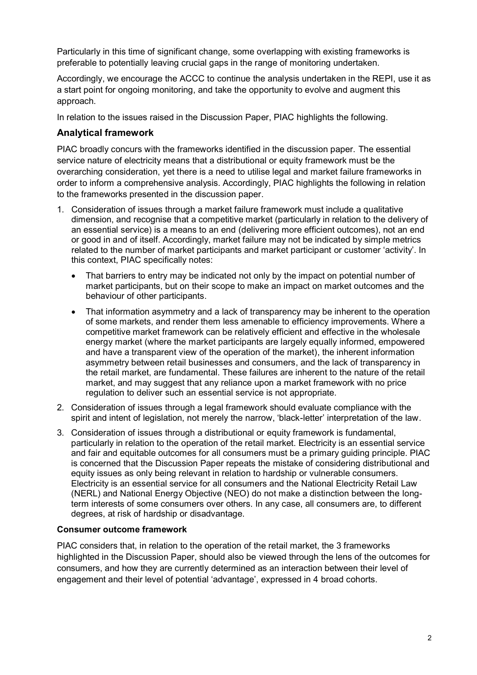Particularly in this time of significant change, some overlapping with existing frameworks is preferable to potentially leaving crucial gaps in the range of monitoring undertaken.

Accordingly, we encourage the ACCC to continue the analysis undertaken in the REPI, use it as a start point for ongoing monitoring, and take the opportunity to evolve and augment this approach.

In relation to the issues raised in the Discussion Paper, PIAC highlights the following.

### **Analytical framework**

PIAC broadly concurs with the frameworks identified in the discussion paper. The essential service nature of electricity means that a distributional or equity framework must be the overarching consideration, yet there is a need to utilise legal and market failure frameworks in order to inform a comprehensive analysis. Accordingly, PIAC highlights the following in relation to the frameworks presented in the discussion paper.

- 1. Consideration of issues through a market failure framework must include a qualitative dimension, and recognise that a competitive market (particularly in relation to the delivery of an essential service) is a means to an end (delivering more efficient outcomes), not an end or good in and of itself. Accordingly, market failure may not be indicated by simple metrics related to the number of market participants and market participant or customer 'activity'. In this context, PIAC specifically notes:
	- That barriers to entry may be indicated not only by the impact on potential number of market participants, but on their scope to make an impact on market outcomes and the behaviour of other participants.
	- That information asymmetry and a lack of transparency may be inherent to the operation of some markets, and render them less amenable to efficiency improvements. Where a competitive market framework can be relatively efficient and effective in the wholesale energy market (where the market participants are largely equally informed, empowered and have a transparent view of the operation of the market), the inherent information asymmetry between retail businesses and consumers, and the lack of transparency in the retail market, are fundamental. These failures are inherent to the nature of the retail market, and may suggest that any reliance upon a market framework with no price regulation to deliver such an essential service is not appropriate.
- 2. Consideration of issues through a legal framework should evaluate compliance with the spirit and intent of legislation, not merely the narrow, 'black-letter' interpretation of the law.
- 3. Consideration of issues through a distributional or equity framework is fundamental, particularly in relation to the operation of the retail market. Electricity is an essential service and fair and equitable outcomes for all consumers must be a primary guiding principle. PIAC is concerned that the Discussion Paper repeats the mistake of considering distributional and equity issues as only being relevant in relation to hardship or vulnerable consumers. Electricity is an essential service for all consumers and the National Electricity Retail Law (NERL) and National Energy Objective (NEO) do not make a distinction between the longterm interests of some consumers over others. In any case, all consumers are, to different degrees, at risk of hardship or disadvantage.

### **Consumer outcome framework**

PIAC considers that, in relation to the operation of the retail market, the 3 frameworks highlighted in the Discussion Paper, should also be viewed through the lens of the outcomes for consumers, and how they are currently determined as an interaction between their level of engagement and their level of potential 'advantage', expressed in 4 broad cohorts.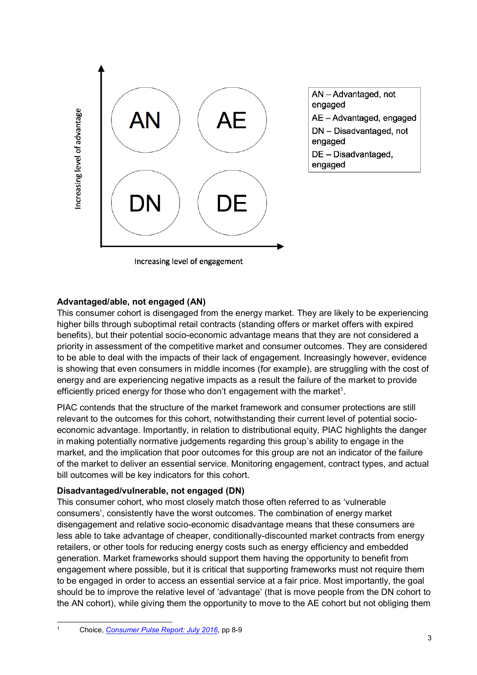

AN - Advantaged, not engaged AE - Advantaged, engaged DN - Disadvantaged, not engaged DE - Disadvantaged, engaged

### **Advantaged/able, not engaged (AN)**

This consumer cohort is disengaged from the energy market. They are likely to be experiencing higher bills through suboptimal retail contracts (standing offers or market offers with expired benefits), but their potential socio-economic advantage means that they are not considered a priority in assessment of the competitive market and consumer outcomes. They are considered to be able to deal with the impacts of their lack of engagement. Increasingly however, evidence is showing that even consumers in middle incomes (for example), are struggling with the cost of energy and are experiencing negative impacts as a result the failure of the market to provide efficiently priced energy for those who don't engagement with the market<sup>1</sup>.

PIAC contends that the structure of the market framework and consumer protections are still relevant to the outcomes for this cohort, notwithstanding their current level of potential socioeconomic advantage. Importantly, in relation to distributional equity, PIAC highlights the danger in making potentially normative judgements regarding this group's ability to engage in the market, and the implication that poor outcomes for this group are not an indicator of the failure of the market to deliver an essential service. Monitoring engagement, contract types, and actual bill outcomes will be key indicators for this cohort.

#### **Disadvantaged/vulnerable, not engaged (DN)**

This consumer cohort, who most closely match those often referred to as 'vulnerable consumers', consistently have the worst outcomes. The combination of energy market disengagement and relative socio-economic disadvantage means that these consumers are less able to take advantage of cheaper, conditionally-discounted market contracts from energy retailers, or other tools for reducing energy costs such as energy efficiency and embedded generation. Market frameworks should support them having the opportunity to benefit from engagement where possible, but it is critical that supporting frameworks must not require them to be engaged in order to access an essential service at a fair price. Most importantly, the goal should be to improve the relative level of 'advantage' (that is move people from the DN cohort to the AN cohort), while giving them the opportunity to move to the AE cohort but not obliging them

 <sup>1</sup> Choice, *Consumer Pulse Report: July 2016*, pp 8-9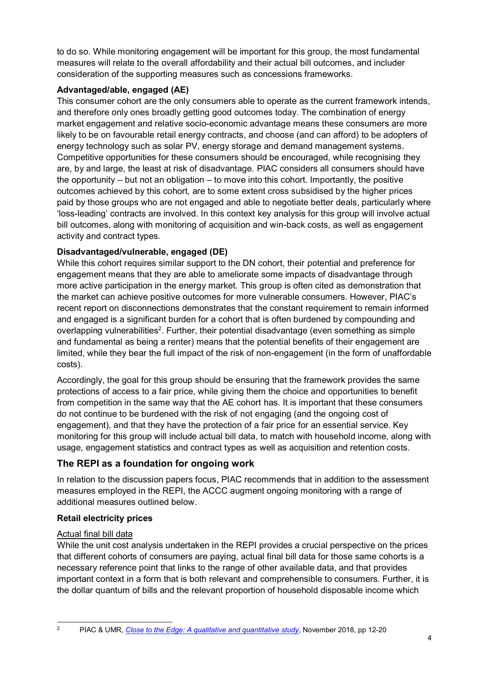to do so. While monitoring engagement will be important for this group, the most fundamental measures will relate to the overall affordability and their actual bill outcomes, and includer consideration of the supporting measures such as concessions frameworks.

### **Advantaged/able, engaged (AE)**

This consumer cohort are the only consumers able to operate as the current framework intends, and therefore only ones broadly getting good outcomes today. The combination of energy market engagement and relative socio-economic advantage means these consumers are more likely to be on favourable retail energy contracts, and choose (and can afford) to be adopters of energy technology such as solar PV, energy storage and demand management systems. Competitive opportunities for these consumers should be encouraged, while recognising they are, by and large, the least at risk of disadvantage. PIAC considers all consumers should have the opportunity – but not an obligation – to move into this cohort. Importantly, the positive outcomes achieved by this cohort, are to some extent cross subsidised by the higher prices paid by those groups who are not engaged and able to negotiate better deals, particularly where 'loss-leading' contracts are involved. In this context key analysis for this group will involve actual bill outcomes, along with monitoring of acquisition and win-back costs, as well as engagement activity and contract types.

# **Disadvantaged/vulnerable, engaged (DE)**

While this cohort requires similar support to the DN cohort, their potential and preference for engagement means that they are able to ameliorate some impacts of disadvantage through more active participation in the energy market. This group is often cited as demonstration that the market can achieve positive outcomes for more vulnerable consumers. However, PIAC's recent report on disconnections demonstrates that the constant requirement to remain informed and engaged is a significant burden for a cohort that is often burdened by compounding and overlapping vulnerabilities<sup>2</sup>. Further, their potential disadvantage (even something as simple and fundamental as being a renter) means that the potential benefits of their engagement are limited, while they bear the full impact of the risk of non-engagement (in the form of unaffordable costs).

Accordingly, the goal for this group should be ensuring that the framework provides the same protections of access to a fair price, while giving them the choice and opportunities to benefit from competition in the same way that the AE cohort has. It is important that these consumers do not continue to be burdened with the risk of not engaging (and the ongoing cost of engagement), and that they have the protection of a fair price for an essential service. Key monitoring for this group will include actual bill data, to match with household income, along with usage, engagement statistics and contract types as well as acquisition and retention costs.

# **The REPI as a foundation for ongoing work**

In relation to the discussion papers focus, PIAC recommends that in addition to the assessment measures employed in the REPI, the ACCC augment ongoing monitoring with a range of additional measures outlined below.

### **Retail electricity prices**

### Actual final bill data

While the unit cost analysis undertaken in the REPI provides a crucial perspective on the prices that different cohorts of consumers are paying, actual final bill data for those same cohorts is a necessary reference point that links to the range of other available data, and that provides important context in a form that is both relevant and comprehensible to consumers. Further, it is the dollar quantum of bills and the relevant proportion of household disposable income which

 <sup>2</sup> PIAC & UMR, *Close to the Edge: A qualitative and quantitative study*, November 2018, pp 12-20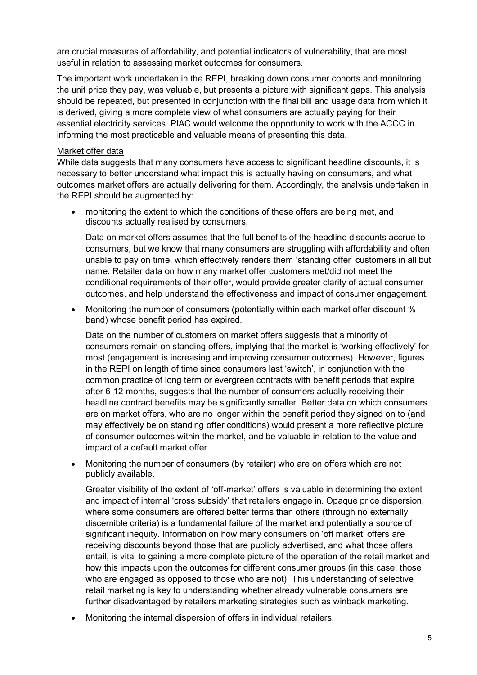are crucial measures of affordability, and potential indicators of vulnerability, that are most useful in relation to assessing market outcomes for consumers.

The important work undertaken in the REPI, breaking down consumer cohorts and monitoring the unit price they pay, was valuable, but presents a picture with significant gaps. This analysis should be repeated, but presented in conjunction with the final bill and usage data from which it is derived, giving a more complete view of what consumers are actually paying for their essential electricity services. PIAC would welcome the opportunity to work with the ACCC in informing the most practicable and valuable means of presenting this data.

#### Market offer data

While data suggests that many consumers have access to significant headline discounts, it is necessary to better understand what impact this is actually having on consumers, and what outcomes market offers are actually delivering for them. Accordingly, the analysis undertaken in the REPI should be augmented by:

• monitoring the extent to which the conditions of these offers are being met, and discounts actually realised by consumers.

Data on market offers assumes that the full benefits of the headline discounts accrue to consumers, but we know that many consumers are struggling with affordability and often unable to pay on time, which effectively renders them 'standing offer' customers in all but name. Retailer data on how many market offer customers met/did not meet the conditional requirements of their offer, would provide greater clarity of actual consumer outcomes, and help understand the effectiveness and impact of consumer engagement.

• Monitoring the number of consumers (potentially within each market offer discount % band) whose benefit period has expired.

Data on the number of customers on market offers suggests that a minority of consumers remain on standing offers, implying that the market is 'working effectively' for most (engagement is increasing and improving consumer outcomes). However, figures in the REPI on length of time since consumers last 'switch', in conjunction with the common practice of long term or evergreen contracts with benefit periods that expire after 6-12 months, suggests that the number of consumers actually receiving their headline contract benefits may be significantly smaller. Better data on which consumers are on market offers, who are no longer within the benefit period they signed on to (and may effectively be on standing offer conditions) would present a more reflective picture of consumer outcomes within the market, and be valuable in relation to the value and impact of a default market offer.

• Monitoring the number of consumers (by retailer) who are on offers which are not publicly available.

Greater visibility of the extent of 'off-market' offers is valuable in determining the extent and impact of internal 'cross subsidy' that retailers engage in. Opaque price dispersion, where some consumers are offered better terms than others (through no externally discernible criteria) is a fundamental failure of the market and potentially a source of significant inequity. Information on how many consumers on 'off market' offers are receiving discounts beyond those that are publicly advertised, and what those offers entail, is vital to gaining a more complete picture of the operation of the retail market and how this impacts upon the outcomes for different consumer groups (in this case, those who are engaged as opposed to those who are not). This understanding of selective retail marketing is key to understanding whether already vulnerable consumers are further disadvantaged by retailers marketing strategies such as winback marketing.

• Monitoring the internal dispersion of offers in individual retailers.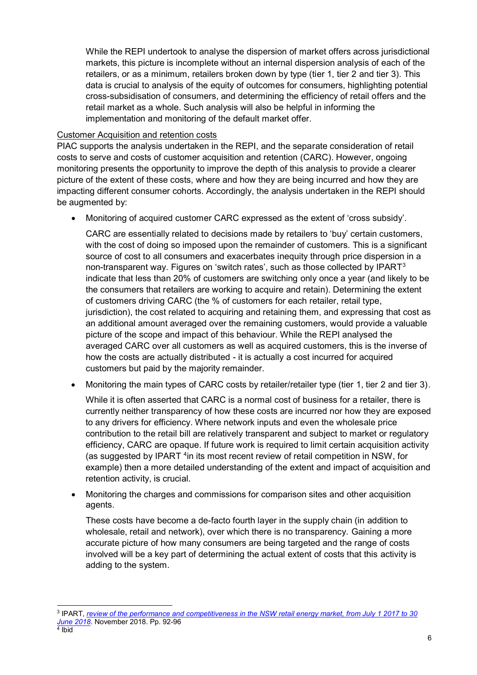While the REPI undertook to analyse the dispersion of market offers across jurisdictional markets, this picture is incomplete without an internal dispersion analysis of each of the retailers, or as a minimum, retailers broken down by type (tier 1, tier 2 and tier 3). This data is crucial to analysis of the equity of outcomes for consumers, highlighting potential cross-subsidisation of consumers, and determining the efficiency of retail offers and the retail market as a whole. Such analysis will also be helpful in informing the implementation and monitoring of the default market offer.

#### Customer Acquisition and retention costs

PIAC supports the analysis undertaken in the REPI, and the separate consideration of retail costs to serve and costs of customer acquisition and retention (CARC). However, ongoing monitoring presents the opportunity to improve the depth of this analysis to provide a clearer picture of the extent of these costs, where and how they are being incurred and how they are impacting different consumer cohorts. Accordingly, the analysis undertaken in the REPI should be augmented by:

• Monitoring of acquired customer CARC expressed as the extent of 'cross subsidy'.

CARC are essentially related to decisions made by retailers to 'buy' certain customers, with the cost of doing so imposed upon the remainder of customers. This is a significant source of cost to all consumers and exacerbates inequity through price dispersion in a non-transparent way. Figures on 'switch rates', such as those collected by IPART<sup>3</sup> indicate that less than 20% of customers are switching only once a year (and likely to be the consumers that retailers are working to acquire and retain). Determining the extent of customers driving CARC (the % of customers for each retailer, retail type, jurisdiction), the cost related to acquiring and retaining them, and expressing that cost as an additional amount averaged over the remaining customers, would provide a valuable picture of the scope and impact of this behaviour. While the REPI analysed the averaged CARC over all customers as well as acquired customers, this is the inverse of how the costs are actually distributed - it is actually a cost incurred for acquired customers but paid by the majority remainder.

• Monitoring the main types of CARC costs by retailer/retailer type (tier 1, tier 2 and tier 3).

While it is often asserted that CARC is a normal cost of business for a retailer, there is currently neither transparency of how these costs are incurred nor how they are exposed to any drivers for efficiency. Where network inputs and even the wholesale price contribution to the retail bill are relatively transparent and subject to market or regulatory efficiency, CARC are opaque. If future work is required to limit certain acquisition activity (as suggested by IPART<sup>4</sup> in its most recent review of retail competition in NSW, for example) then a more detailed understanding of the extent and impact of acquisition and retention activity, is crucial.

• Monitoring the charges and commissions for comparison sites and other acquisition agents.

These costs have become a de-facto fourth layer in the supply chain (in addition to wholesale, retail and network), over which there is no transparency. Gaining a more accurate picture of how many consumers are being targeted and the range of costs involved will be a key part of determining the actual extent of costs that this activity is adding to the system.

 <sup>3</sup> IPART, *review of the performance and competitiveness in the NSW retail energy market, from July 1 2017 to 30 June 2018*. November 2018. Pp. 92-96 <sup>4</sup> Ibid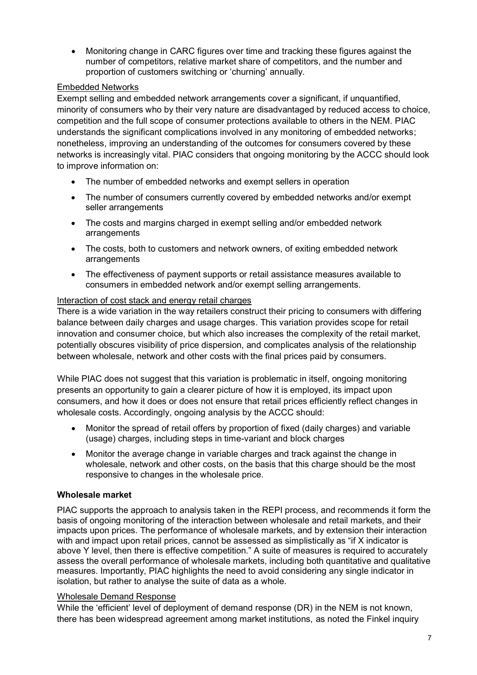• Monitoring change in CARC figures over time and tracking these figures against the number of competitors, relative market share of competitors, and the number and proportion of customers switching or 'churning' annually.

### Embedded Networks

Exempt selling and embedded network arrangements cover a significant, if unquantified, minority of consumers who by their very nature are disadvantaged by reduced access to choice, competition and the full scope of consumer protections available to others in the NEM. PIAC understands the significant complications involved in any monitoring of embedded networks; nonetheless, improving an understanding of the outcomes for consumers covered by these networks is increasingly vital. PIAC considers that ongoing monitoring by the ACCC should look to improve information on:

- The number of embedded networks and exempt sellers in operation
- The number of consumers currently covered by embedded networks and/or exempt seller arrangements
- The costs and margins charged in exempt selling and/or embedded network arrangements
- The costs, both to customers and network owners, of exiting embedded network arrangements
- The effectiveness of payment supports or retail assistance measures available to consumers in embedded network and/or exempt selling arrangements.

### Interaction of cost stack and energy retail charges

There is a wide variation in the way retailers construct their pricing to consumers with differing balance between daily charges and usage charges. This variation provides scope for retail innovation and consumer choice, but which also increases the complexity of the retail market, potentially obscures visibility of price dispersion, and complicates analysis of the relationship between wholesale, network and other costs with the final prices paid by consumers.

While PIAC does not suggest that this variation is problematic in itself, ongoing monitoring presents an opportunity to gain a clearer picture of how it is employed, its impact upon consumers, and how it does or does not ensure that retail prices efficiently reflect changes in wholesale costs. Accordingly, ongoing analysis by the ACCC should:

- Monitor the spread of retail offers by proportion of fixed (daily charges) and variable (usage) charges, including steps in time-variant and block charges
- Monitor the average change in variable charges and track against the change in wholesale, network and other costs, on the basis that this charge should be the most responsive to changes in the wholesale price.

### **Wholesale market**

PIAC supports the approach to analysis taken in the REPI process, and recommends it form the basis of ongoing monitoring of the interaction between wholesale and retail markets, and their impacts upon prices. The performance of wholesale markets, and by extension their interaction with and impact upon retail prices, cannot be assessed as simplistically as "if X indicator is above Y level, then there is effective competition." A suite of measures is required to accurately assess the overall performance of wholesale markets, including both quantitative and qualitative measures. Importantly, PIAC highlights the need to avoid considering any single indicator in isolation, but rather to analyse the suite of data as a whole.

### Wholesale Demand Response

While the 'efficient' level of deployment of demand response (DR) in the NEM is not known, there has been widespread agreement among market institutions, as noted the Finkel inquiry